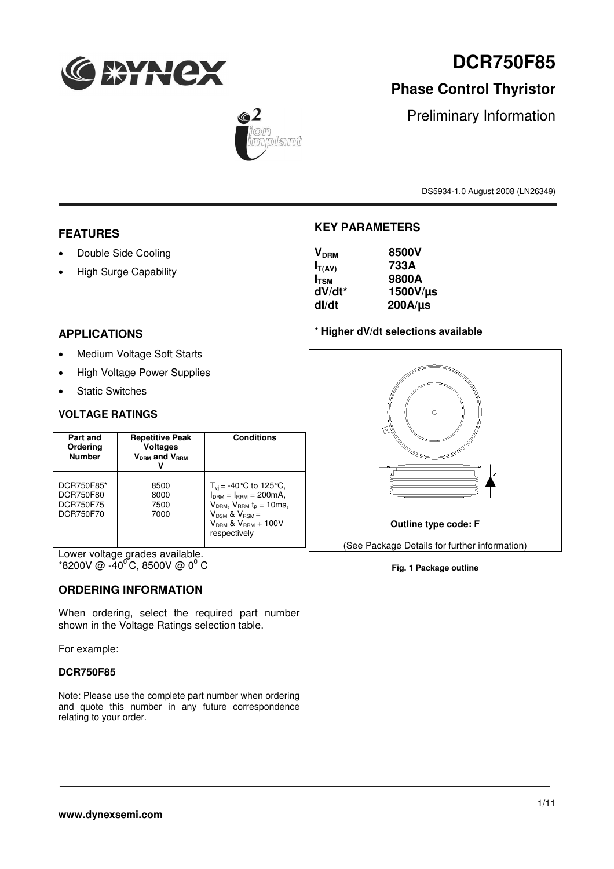

# **Phase Control Thyristor**

 $\sqrt{2}$ rolamt

Preliminary Information

DS5934-1.0 August 2008 (LN26349)

# **FEATURES**

- Double Side Cooling
- High Surge Capability

# **KEY PARAMETERS**

| V <sub>DRM</sub> | 8500V        |
|------------------|--------------|
| $I_{T(AV)}$      | 733A         |
| I <sub>tsm</sub> | 9800A        |
| dV/dt*           | 1500V/µs     |
| dl/dt            | $200A/\mu s$ |
|                  |              |

#### \* **Higher dV/dt selections available**



**Fig. 1 Package outline**

# **APPLICATIONS**

- Medium Voltage Soft Starts
- High Voltage Power Supplies
- Static Switches

#### **VOLTAGE RATINGS**

| Part and<br>Ordering<br><b>Number</b>                    | <b>Repetitive Peak</b><br><b>Voltages</b><br><b>V<sub>DRM</sub></b> and V <sub>RRM</sub> | <b>Conditions</b>                                                                                                                                                                 |
|----------------------------------------------------------|------------------------------------------------------------------------------------------|-----------------------------------------------------------------------------------------------------------------------------------------------------------------------------------|
| DCR750F85*<br>DCR750F80<br><b>DCR750F75</b><br>DCR750F70 | 8500<br>8000<br>7500<br>7000                                                             | $T_{\rm vi}$ = -40 °C to 125 °C,<br>$I_{DBM} = I_{BBM} = 200 \text{mA}$<br>$VDRM$ , $VRRM tp = 10ms$ ,<br>$V_{DSM}$ & $V_{BSM}$ =<br>$V_{DBM}$ & $V_{BBM}$ + 100V<br>respectively |

Lower voltage grades available.  $*$ 8200V @ -40<sup>o</sup>C, 8500V @ 0<sup>0</sup> C

# **ORDERING INFORMATION**

When ordering, select the required part number shown in the Voltage Ratings selection table.

For example:

#### **DCR750F85**

Note: Please use the complete part number when ordering and quote this number in any future correspondence relating to your order.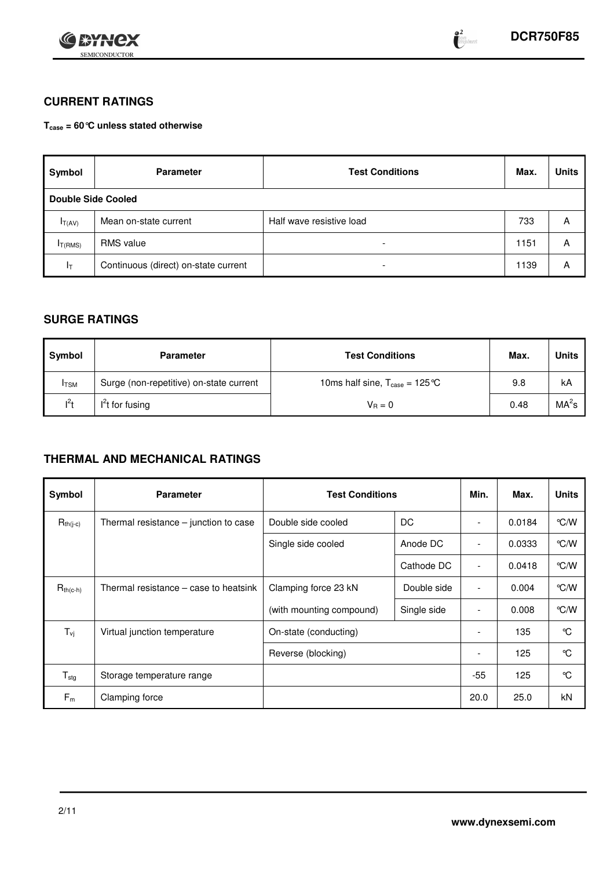

# **CURRENT RATINGS**

**Tcase = 60°C unless stated otherwise**

| Symbol                    | <b>Parameter</b>                     | <b>Test Conditions</b>   | Max. | <b>Units</b> |
|---------------------------|--------------------------------------|--------------------------|------|--------------|
| <b>Double Side Cooled</b> |                                      |                          |      |              |
| $I_{T(AV)}$               | Mean on-state current                | Half wave resistive load | 733  | А            |
| I <sub>T</sub> (RMS)      | <b>RMS</b> value                     | $\overline{\phantom{a}}$ | 1151 | А            |
| Iτ                        | Continuous (direct) on-state current | $\overline{\phantom{0}}$ | 1139 | А            |

# **SURGE RATINGS**

| Symbol       | <b>Parameter</b>                        | <b>Test Conditions</b>                                           |      | Units             |
|--------------|-----------------------------------------|------------------------------------------------------------------|------|-------------------|
| <b>I</b> TSM | Surge (non-repetitive) on-state current | 10ms half sine, $T_{\text{case}} = 125 \text{ }^{\circ}\text{C}$ | 9.8  | kA                |
| $I^2t$       | $I2t$ for fusing                        | $V_{\rm B}=0$                                                    | 0.48 | MA <sup>2</sup> s |

# **THERMAL AND MECHANICAL RATINGS**

| Symbol                     | <b>Parameter</b>                        | <b>Test Conditions</b>              | Min.        | Max.                     | <b>Units</b> |               |
|----------------------------|-----------------------------------------|-------------------------------------|-------------|--------------------------|--------------|---------------|
| $R_{th(j-c)}$              | Thermal resistance $-$ junction to case | Double side cooled                  | DC          | $\overline{\phantom{a}}$ | 0.0184       | $\degree$ C/W |
|                            |                                         | Single side cooled                  | Anode DC    | $\overline{\phantom{a}}$ | 0.0333       | $\degree$ C/W |
|                            |                                         |                                     | Cathode DC  | $\overline{\phantom{a}}$ | 0.0418       | $\degree$ C/W |
| $R_{th(c-h)}$              | Thermal resistance – case to heatsink   | Clamping force 23 kN<br>Double side |             | $\overline{\phantom{a}}$ | 0.004        | $\degree$ C/W |
|                            |                                         | (with mounting compound)            | Single side | $\overline{\phantom{a}}$ | 0.008        | $\degree$ C/W |
| $T_{\rm vj}$               | Virtual junction temperature            | On-state (conducting)               |             |                          | 135          | °C            |
|                            |                                         | Reverse (blocking)                  |             | $\overline{\phantom{a}}$ | 125          | °C            |
| ${\mathsf T}_{\text{stg}}$ | Storage temperature range               |                                     | $-55$       | 125                      | °C           |               |
| $F_m$                      | Clamping force                          |                                     |             | 20.0                     | 25.0         | kN            |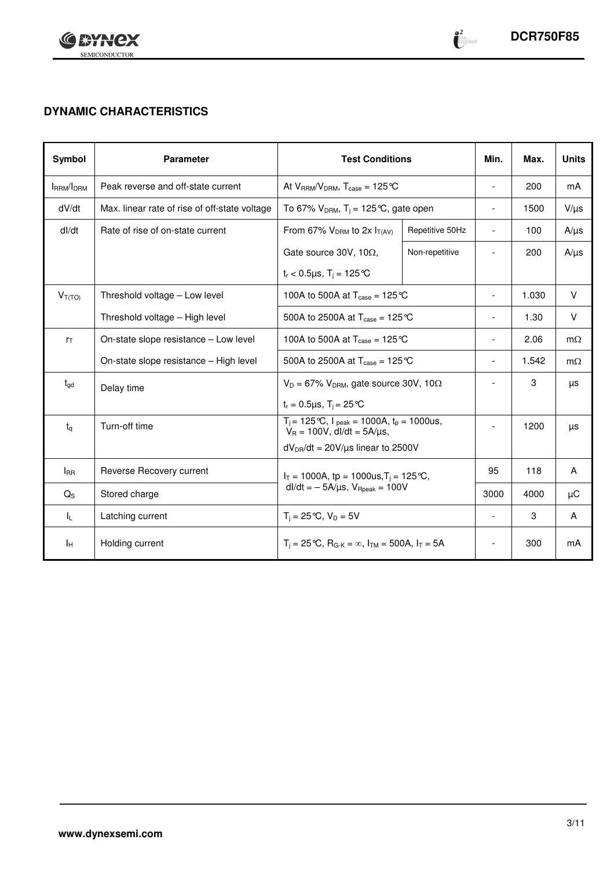

 $\begin{array}{c} \bullet 2 \ \bullet \end{array}$ implant

# **DYNAMIC CHARACTERISTICS**

| Symbol          | <b>Parameter</b>                              | <b>Test Conditions</b>                                                                         | Min.            | Max.                     | <b>Units</b> |           |
|-----------------|-----------------------------------------------|------------------------------------------------------------------------------------------------|-----------------|--------------------------|--------------|-----------|
| IRRM/IDRM       | Peak reverse and off-state current            | At $V_{RRM}/V_{DRM}$ , $T_{case} = 125 \text{°C}$                                              |                 |                          | 200          | mA        |
| dV/dt           | Max. linear rate of rise of off-state voltage | To 67% $V_{DRM}$ , T <sub>i</sub> = 125 °C, gate open                                          |                 | $\overline{\phantom{a}}$ | 1500         | $V/\mu s$ |
| dl/dt           | Rate of rise of on-state current              | From 67% $V_{DRM}$ to 2x $I_{T(AV)}$                                                           | Repetitive 50Hz | $\blacksquare$           | 100          | $A/\mu s$ |
|                 |                                               | Gate source 30V, 10 $\Omega$ ,                                                                 | Non-repetitive  | $\overline{\phantom{a}}$ | 200          | $A/\mu s$ |
|                 |                                               | $t_r < 0.5 \mu s$ , $T_i = 125 \text{°C}$                                                      |                 |                          |              |           |
| $V_{T(TO)}$     | Threshold voltage - Low level                 | 100A to 500A at $T_{\text{case}} = 125 \text{°C}$                                              |                 |                          | 1.030        | $\vee$    |
|                 | Threshold voltage - High level                | 500A to 2500A at $T_{\text{case}} = 125 \text{ }^{\circ}\text{C}$                              |                 |                          | 1.30         | $\vee$    |
| $r_{\text{T}}$  | On-state slope resistance - Low level         | 100A to 500A at $T_{\text{case}} = 125 \text{°C}$                                              |                 | 2.06                     | $m\Omega$    |           |
|                 | On-state slope resistance - High level        | 500A to 2500A at $T_{\text{case}} = 125 \text{ }^{\circ}\text{C}$                              | $\overline{a}$  | 1.542                    | $m\Omega$    |           |
| $t_{\text{gd}}$ | Delay time                                    | $V_D = 67\%$ V <sub>DRM</sub> , gate source 30V, 10 $\Omega$                                   |                 | $\overline{a}$           | 3            | μs        |
|                 |                                               | $t_r = 0.5 \mu s$ , $T_i = 25 \text{°C}$                                                       |                 |                          |              |           |
| $t_{q}$         | Turn-off time                                 | $T_i = 125 \degree C$ , $I_{peak} = 1000A$ , $t_p = 1000us$ ,<br>$V_R = 100V$ , dl/dt = 5A/µs, |                 | $\blacksquare$           | 1200         | μs        |
|                 |                                               | $dV_{DR}/dt = 20V/\mu s$ linear to 2500V                                                       |                 |                          |              |           |
| $I_{\rm BR}$    | Reverse Recovery current                      | $I_T = 1000A$ , tp = 1000us, $T_i = 125 \degree C$ ,                                           |                 | 95                       | 118          | A         |
| $Q_{\rm S}$     | Stored charge                                 | $dl/dt = -5A/\mu s$ , $V_{\text{Rpeak}} = 100V$                                                |                 | 3000                     | 4000         | μC        |
| ΙL.             | Latching current                              | $T_i = 25^{\circ}C$ , $V_D = 5V$                                                               |                 | $\overline{\phantom{a}}$ | 3            | A         |
| Īн              | Holding current                               | $T_i = 25 \text{°C}$ , $R_{G-K} = \infty$ , $I_{TM} = 500A$ , $I_T = 5A$                       |                 | $\overline{a}$           | 300          | mA        |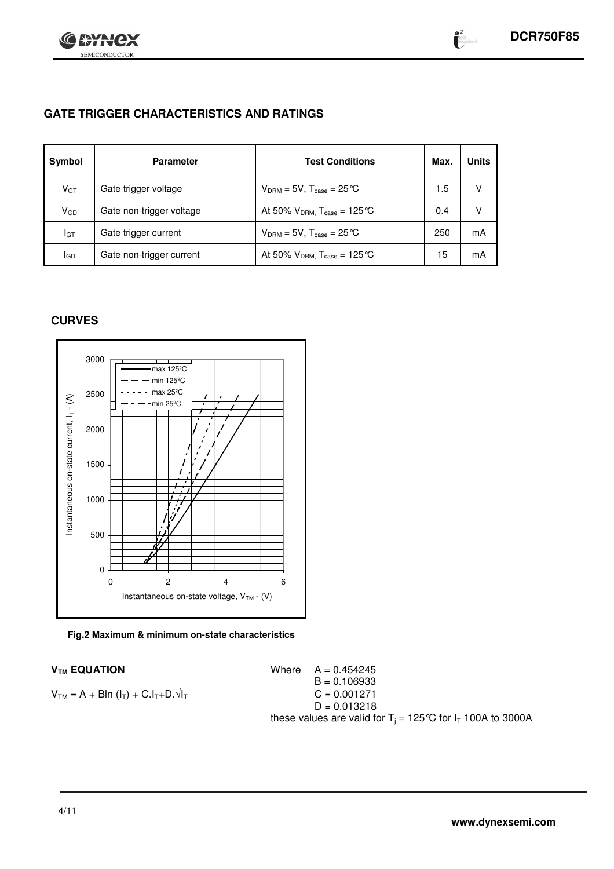

**@2**<br>| fort<br>| imagebound

# **GATE TRIGGER CHARACTERISTICS AND RATINGS**

| Symbol   | <b>Parameter</b>         | <b>Test Conditions</b>                    | Max. | <b>Units</b> |
|----------|--------------------------|-------------------------------------------|------|--------------|
| $V_{GT}$ | Gate trigger voltage     | $V_{DRM} = 5V$ , $T_{case} = 25^{\circ}C$ | 1.5  |              |
| $V_{GD}$ | Gate non-trigger voltage | At 50% $V_{DRM}$ , $T_{case} = 125$ °C    | 0.4  |              |
| IGТ      | Gate trigger current     | $V_{DRM}$ = 5V, $T_{case}$ = 25 °C        | 250  | mA           |
| IGD      | Gate non-trigger current | At 50% $V_{DRM}$ , $T_{case} = 125$ °C    | 15   | mA           |

# **CURVES**



**Fig.2 Maximum & minimum on-state characteristics**

 $V_{TM}$  **EQUATION** Where  $A = 0.454245$  $B = 0.106933$  $V_{TM} = A + B\ln(I_T) + C.I_T + D.\sqrt{I_T}$  C = 0.001271  $D = 0.013218$ these values are valid for T $_{\rm j}$  = 125°C for I $_{\rm T}$  100A to 3000A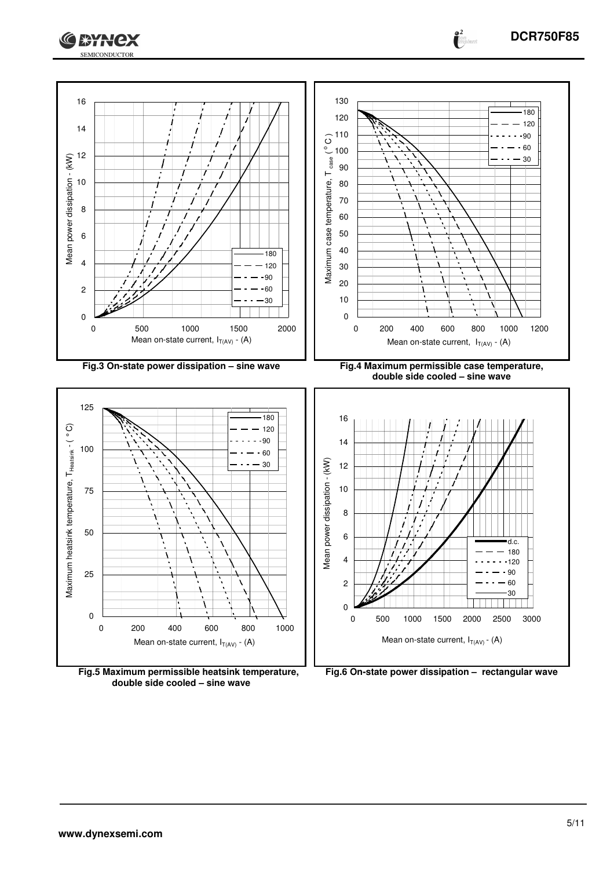

**Fig.5 Maximum permissible heatsink temperature, double side cooled – sine wave**



SEMICONDUCTOR

**CATHEX** 

**DCR750F85**

 $\bullet^2$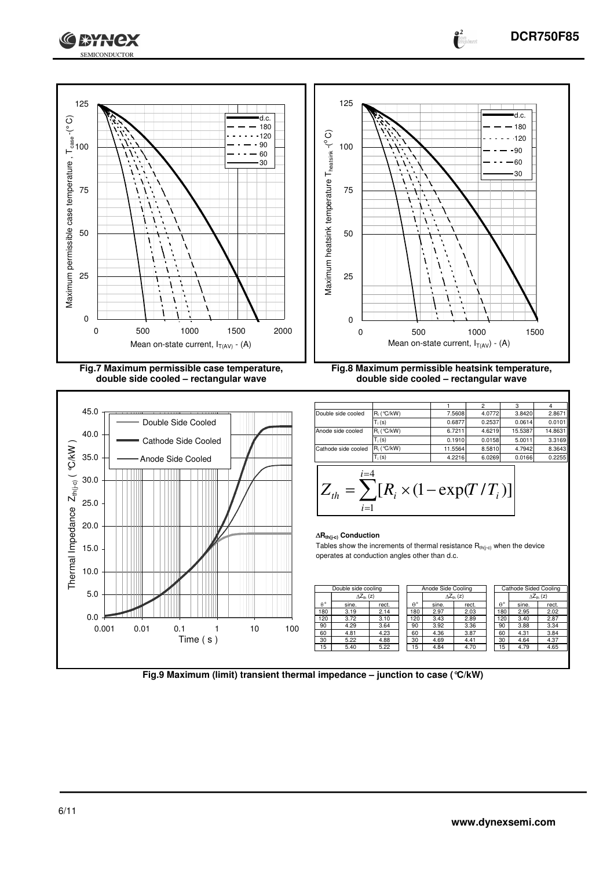



**double side cooled – rectangular wave**



**double side cooled – rectangular wave** 1 | 2 | 3 | 4

 $\bullet^2$ 

| Double side cooled  | $R_i$ (°C/kW)     | 7.5608  | 4.0772 | 3.8420  | 2.8671  |
|---------------------|-------------------|---------|--------|---------|---------|
|                     | $T_i(s)$          | 0.6877  | 0.2537 | 0.0614  | 0.0101  |
| Anode side cooled   | $R_i$ ( $°C/kW$ ) | 6.7211  | 4.6219 | 15.5387 | 14.8631 |
|                     | $T_i(s)$          | 0.1910  | 0.0158 | 5.0011  | 3.3169  |
| Cathode side cooled | R. ( °C/kW)       | 11.5564 | 8.5810 | 4.7942  | 8.3643  |
|                     | $T_i(s)$          | 4.2216  | 6.0269 | 0.0166  | 0.2255  |
|                     |                   |         |        |         |         |

$$
Z_{th} = \sum_{i=1}^{i=4} [R_i \times (1 - \exp(T/T_i))]
$$

#### **Rth(j-c) Conduction**

Tables show the increments of thermal resistance  $R_{th(j-c)}$  when the device operates at conduction angles other than d.c.

|                  | Double side cooling |                            | Anode Side Cooling |                     |       | Cathode Sided Cooling |                     |       |
|------------------|---------------------|----------------------------|--------------------|---------------------|-------|-----------------------|---------------------|-------|
|                  |                     | $\Delta Z_{\text{th}}$ (z) |                    | $\Delta Z_{th}$ (z) |       |                       | $\Delta Z_{th}$ (z) |       |
| $\theta^{\circ}$ | sine.               | rect.                      | θ۰                 | sine.               | rect. | $\theta^{\circ}$      | sine.               | rect. |
| 180              | 3.19                | 2.14                       | 80                 | 2.97                | 2.03  | 80                    | 2.95                | 2.02  |
| 120              | 3.72                | 3.10                       | 120                | 3.43                | 2.89  | 120                   | 3.40                | 2.87  |
| 90               | 4.29                | 3.64                       | 90                 | 3.92                | 3.36  | 90                    | 3.88                | 3.34  |
| 60               | 4.81                | 4.23                       | 60                 | 4.36                | 3.87  | 60                    | 4.31                | 3.84  |
| 30               | 5.22                | 4.88                       | 30                 | 4.69                | 4.41  | 30                    | 4.64                | 4.37  |
| 15               | 5.40                | 5.22                       | 5                  | 4.84                | 4.70  | 15                    | 4.79                | 4.65  |

**Fig.9 Maximum (limit) transient thermal impedance – junction to case (°C/kW)**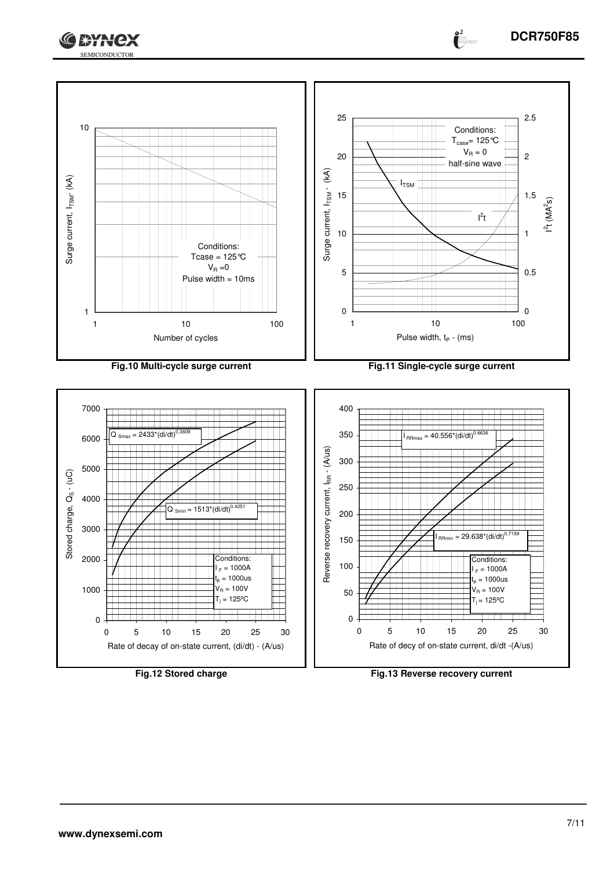



**Fig.12 Stored charge Fig.13 Reverse recovery current**

 $\bullet^2$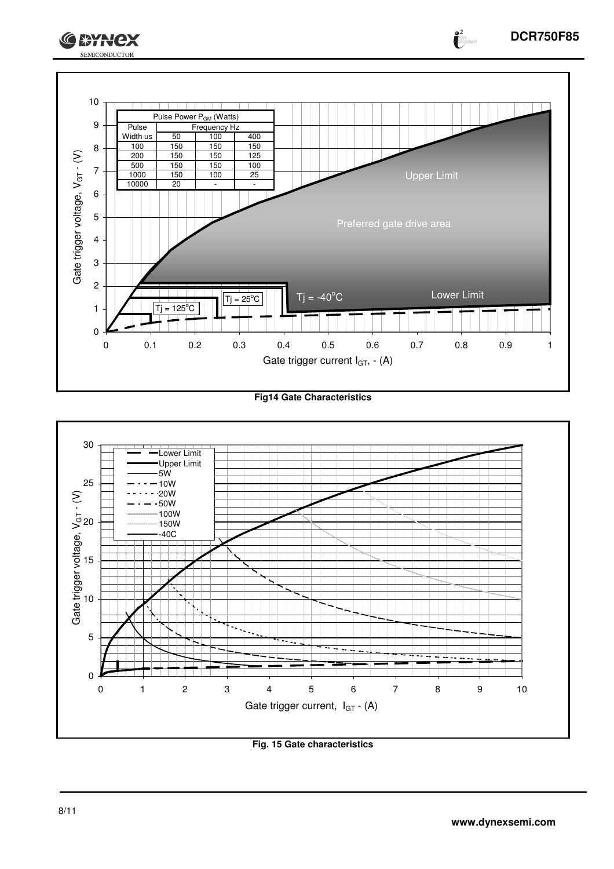





**Fig. 15 Gate characteristics**

**o 2**<br>Cion

**GEYNCX**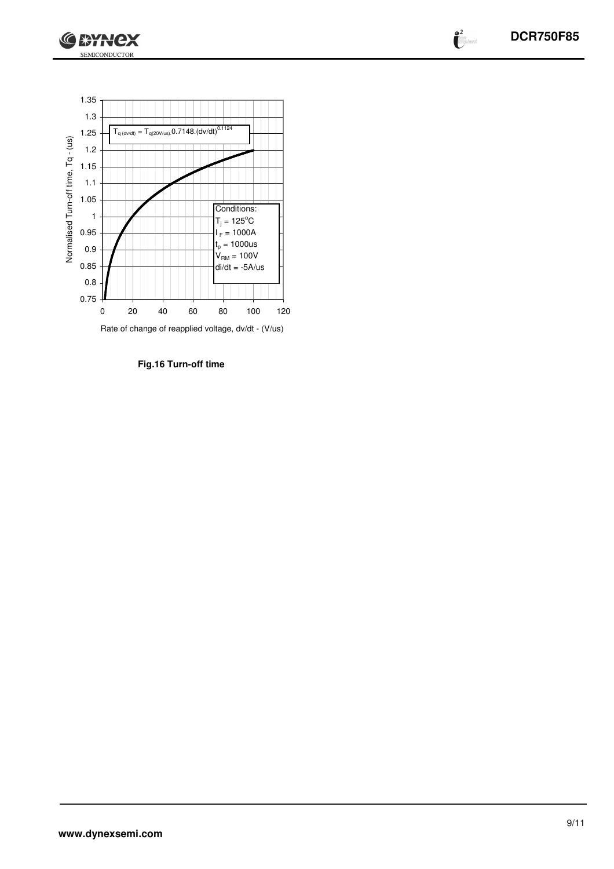

 $\begin{pmatrix} 2 \\ i \end{pmatrix}$ 



**Fig.16 Turn-off time**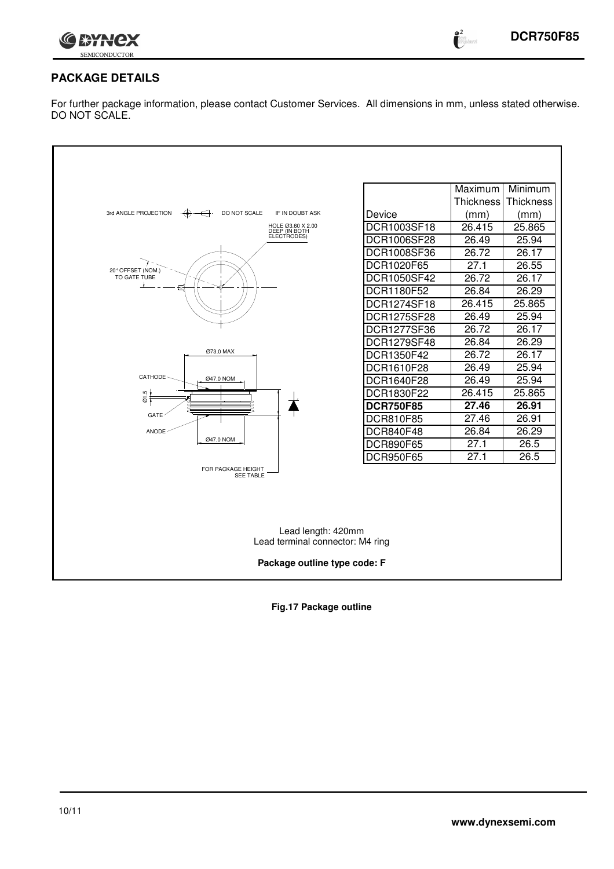

**e 2**<br>Cimplant

# **PACKAGE DETAILS**

For further package information, please contact Customer Services. All dimensions in mm, unless stated otherwise. DO NOT SCALE.

| 3rd ANGLE PROJECTION<br>DO NOT SCALE<br>IF IN DOUBT ASK<br>$\cdot$ $\leftrightarrow$<br>←<br>HOLE 03.60 X 2.00<br>DEEP (IN BOTH<br>ELECTRODES)<br>20° OFFSET (NOM.)<br>TO GATE TUBE<br>Ø73.0 MAX<br>CATHODE-<br>Ø47.0 NOM | Device<br>DCR1003SF18<br>DCR1006SF28<br>DCR1008SF36<br>DCR1020F65<br>DCR1050SF42<br>DCR1180F52<br>DCR1274SF18<br>DCR1275SF28<br><b>DCR1277SF36</b><br>DCR1279SF48<br>DCR1350F42<br>DCR1610F28<br>DCR1640F28 | Maximum<br><b>Thickness</b><br>(mm)<br>26.415<br>26.49<br>26.72<br>27.1<br>26.72<br>26.84<br>26.415<br>26.49<br>26.72<br>26.84<br>26.72<br>26.49<br>26.49 | Minimum<br>Thickness<br>(mm)<br>25.865<br>25.94<br>26.17<br>26.55<br>26.17<br>26.29<br>25.865<br>25.94<br>26.17<br>26.29<br>26.17<br>25.94<br>25.94 |  |  |  |
|---------------------------------------------------------------------------------------------------------------------------------------------------------------------------------------------------------------------------|-------------------------------------------------------------------------------------------------------------------------------------------------------------------------------------------------------------|-----------------------------------------------------------------------------------------------------------------------------------------------------------|-----------------------------------------------------------------------------------------------------------------------------------------------------|--|--|--|
| <b>GATE</b><br>ANODE                                                                                                                                                                                                      | DCR810F85<br>DCR840F48                                                                                                                                                                                      | 27.46<br>26.84                                                                                                                                            | 26.91<br>26.29                                                                                                                                      |  |  |  |
| Ø47.0 NOM                                                                                                                                                                                                                 | <b>DCR890F65</b><br><b>DCR950F65</b>                                                                                                                                                                        | 27.1<br>27.1                                                                                                                                              | 26.5<br>26.5                                                                                                                                        |  |  |  |
| FOR PACKAGE HEIGHT<br><b>SEE TABLE</b>                                                                                                                                                                                    |                                                                                                                                                                                                             |                                                                                                                                                           |                                                                                                                                                     |  |  |  |
| Lead length: 420mm                                                                                                                                                                                                        |                                                                                                                                                                                                             |                                                                                                                                                           |                                                                                                                                                     |  |  |  |
| Lead terminal connector: M4 ring<br>Package outline type code: F                                                                                                                                                          |                                                                                                                                                                                                             |                                                                                                                                                           |                                                                                                                                                     |  |  |  |

**Fig.17 Package outline**